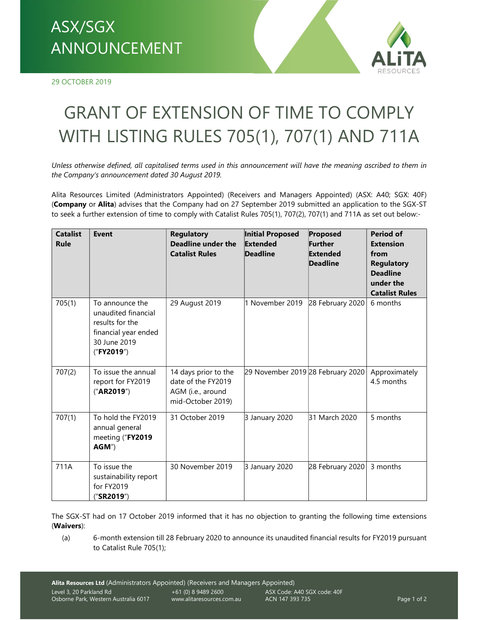## ANNOUNCEMENT

29 OCTOBER 2019



## GRANT OF EXTENSION OF TIME TO COMPLY WITH LISTING RULES 705(1), 707(1) AND 711A

Unless otherwise defined, all capitalised terms used in this announcement will have the meaning ascribed to them in the Company's announcement dated 30 August 2019.

Alita Resources Limited (Administrators Appointed) (Receivers and Managers Appointed) (ASX: A40; SGX: 40F) (Company or Alita) advises that the Company had on 27 September 2019 submitted an application to the SGX-ST to seek a further extension of time to comply with Catalist Rules 705(1), 707(2), 707(1) and 711A as set out below:-

| <b>Catalist</b><br>Rule | <b>Event</b>                                                                                                    | <b>Regulatory</b><br><b>Deadline under the</b><br><b>Catalist Rules</b>              | <b>Initial Proposed</b><br>Extended<br><b>Deadline</b> | Proposed<br>Further<br>Extended<br><b>Deadline</b> | <b>Period of</b><br><b>Extension</b><br>from<br><b>Regulatory</b><br><b>Deadline</b><br>under the<br><b>Catalist Rules</b> |
|-------------------------|-----------------------------------------------------------------------------------------------------------------|--------------------------------------------------------------------------------------|--------------------------------------------------------|----------------------------------------------------|----------------------------------------------------------------------------------------------------------------------------|
| 705(1)                  | To announce the<br>unaudited financial<br>results for the<br>financial year ended<br>30 June 2019<br>("FY2019") | 29 August 2019                                                                       | 1 November 2019                                        | 28 February 2020                                   | 6 months                                                                                                                   |
| 707(2)                  | To issue the annual<br>report for FY2019<br>("AR2019")                                                          | 14 days prior to the<br>date of the FY2019<br>AGM (i.e., around<br>mid-October 2019) | 29 November 2019 28 February 2020                      |                                                    | Approximately<br>4.5 months                                                                                                |
| 707(1)                  | To hold the FY2019<br>annual general<br>meeting ("FY2019<br>AGM")                                               | 31 October 2019                                                                      | 3 January 2020                                         | 31 March 2020                                      | 5 months                                                                                                                   |
| 711A                    | To issue the<br>sustainability report<br>for FY2019<br>("SR2019")                                               | 30 November 2019                                                                     | 3 January 2020                                         | 28 February 2020                                   | 3 months                                                                                                                   |

The SGX-ST had on 17 October 2019 informed that it has no objection to granting the following time extensions (Waivers):

(a) 6-month extension till 28 February 2020 to announce its unaudited financial results for FY2019 pursuant to Catalist Rule 705(1);